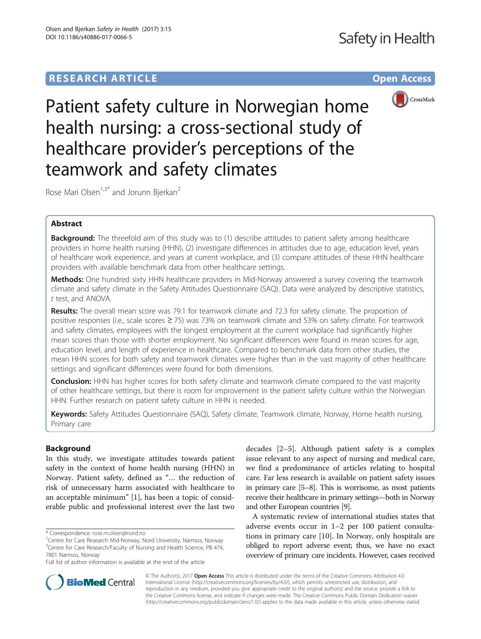

Patient safety culture in Norwegian home health nursing: a cross-sectional study of healthcare provider's perceptions of the teamwork and safety climates

Rose Mari Olsen<sup>1,3\*</sup> and Jorunn Bjerkan<sup>2</sup>

# Abstract

**Background:** The threefold aim of this study was to (1) describe attitudes to patient safety among healthcare providers in home health nursing (HHN), (2) investigate differences in attitudes due to age, education level, years of healthcare work experience, and years at current workplace, and (3) compare attitudes of these HHN healthcare providers with available benchmark data from other healthcare settings.

Methods: One hundred sixty HHN healthcare providers in Mid-Norway answered a survey covering the teamwork climate and safety climate in the Safety Attitudes Questionnaire (SAQ). Data were analyzed by descriptive statistics, t test, and ANOVA.

Results: The overall mean score was 79.1 for teamwork climate and 72.3 for safety climate. The proportion of positive responses (i.e., scale scores ≥ 75) was 73% on teamwork climate and 53% on safety climate. For teamwork and safety climates, employees with the longest employment at the current workplace had significantly higher mean scores than those with shorter employment. No significant differences were found in mean scores for age, education level, and length of experience in healthcare. Compared to benchmark data from other studies, the mean HHN scores for both safety and teamwork climates were higher than in the vast majority of other healthcare settings and significant differences were found for both dimensions.

**Conclusion:** HHN has higher scores for both safety climate and teamwork climate compared to the vast majority of other healthcare settings, but there is room for improvement in the patient safety culture within the Norwegian HHN. Further research on patient safety culture in HHN is needed.

Keywords: Safety Attitudes Questionnaire (SAQ), Safety climate, Teamwork climate, Norway, Home health nursing, Primary care

# Background

In this study, we investigate attitudes towards patient safety in the context of home health nursing (HHN) in Norway. Patient safety, defined as "… the reduction of risk of unnecessary harm associated with healthcare to an acceptable minimum" [[1](#page-6-0)], has been a topic of considerable public and professional interest over the last two

decades [[2](#page-6-0)–[5\]](#page-6-0). Although patient safety is a complex issue relevant to any aspect of nursing and medical care, we find a predominance of articles relating to hospital care. Far less research is available on patient safety issues in primary care [[5](#page-6-0)–[8\]](#page-6-0). This is worrisome, as most patients receive their healthcare in primary settings—both in Norway and other European countries [\[9\]](#page-7-0).

A systematic review of international studies states that adverse events occur in 1–2 per 100 patient consultations in primary care [\[10\]](#page-7-0). In Norway, only hospitals are obliged to report adverse event; thus, we have no exact overview of primary care incidents. However, cases received



© The Author(s). 2017 **Open Access** This article is distributed under the terms of the Creative Commons Attribution 4.0 International License [\(http://creativecommons.org/licenses/by/4.0/](http://creativecommons.org/licenses/by/4.0/)), which permits unrestricted use, distribution, and reproduction in any medium, provided you give appropriate credit to the original author(s) and the source, provide a link to the Creative Commons license, and indicate if changes were made. The Creative Commons Public Domain Dedication waiver [\(http://creativecommons.org/publicdomain/zero/1.0/](http://creativecommons.org/publicdomain/zero/1.0/)) applies to the data made available in this article, unless otherwise stated.

<sup>\*</sup> Correspondence: [rose.m.olsen@nord.no](mailto:rose.m.olsen@nord.no) <sup>1</sup>

<sup>&</sup>lt;sup>1</sup> Centre for Care Research Mid-Norway, Nord University, Namsos, Norway <sup>3</sup> Centre for Care Research/Faculty of Nursing and Health Science, PB 474, 7801 Namsos, Norway

Full list of author information is available at the end of the article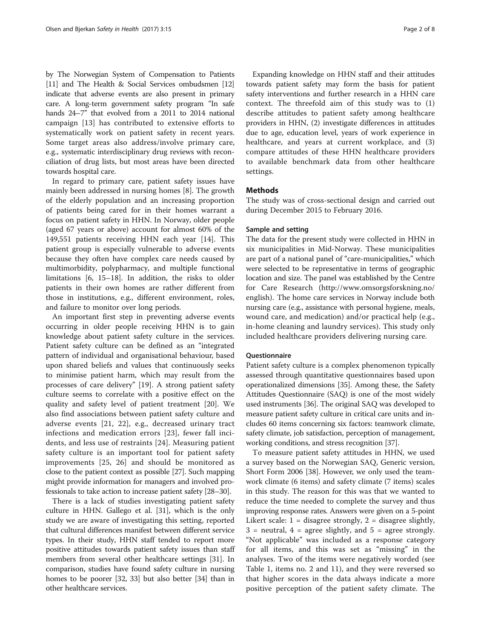by The Norwegian System of Compensation to Patients [[11](#page-7-0)] and The Health & Social Services ombudsmen [\[12](#page-7-0)] indicate that adverse events are also present in primary care. A long-term government safety program "In safe hands 24–7" that evolved from a 2011 to 2014 national campaign [[13\]](#page-7-0) has contributed to extensive efforts to systematically work on patient safety in recent years. Some target areas also address/involve primary care, e.g., systematic interdisciplinary drug reviews with reconciliation of drug lists, but most areas have been directed towards hospital care.

In regard to primary care, patient safety issues have mainly been addressed in nursing homes [[8\]](#page-6-0). The growth of the elderly population and an increasing proportion of patients being cared for in their homes warrant a focus on patient safety in HHN. In Norway, older people (aged 67 years or above) account for almost 60% of the 149,551 patients receiving HHN each year [[14\]](#page-7-0). This patient group is especially vulnerable to adverse events because they often have complex care needs caused by multimorbidity, polypharmacy, and multiple functional limitations [[6,](#page-6-0) [15](#page-7-0)–[18\]](#page-7-0). In addition, the risks to older patients in their own homes are rather different from those in institutions, e.g., different environment, roles, and failure to monitor over long periods.

An important first step in preventing adverse events occurring in older people receiving HHN is to gain knowledge about patient safety culture in the services. Patient safety culture can be defined as an "integrated pattern of individual and organisational behaviour, based upon shared beliefs and values that continuously seeks to minimise patient harm, which may result from the processes of care delivery" [[19\]](#page-7-0). A strong patient safety culture seems to correlate with a positive effect on the quality and safety level of patient treatment [[20\]](#page-7-0). We also find associations between patient safety culture and adverse events [[21, 22](#page-7-0)], e.g., decreased urinary tract infections and medication errors [[23\]](#page-7-0), fewer fall incidents, and less use of restraints [[24](#page-7-0)]. Measuring patient safety culture is an important tool for patient safety improvements [[25, 26\]](#page-7-0) and should be monitored as close to the patient context as possible [\[27](#page-7-0)]. Such mapping might provide information for managers and involved professionals to take action to increase patient safety [\[28](#page-7-0)–[30](#page-7-0)].

There is a lack of studies investigating patient safety culture in HHN. Gallego et al. [\[31\]](#page-7-0), which is the only study we are aware of investigating this setting, reported that cultural differences manifest between different service types. In their study, HHN staff tended to report more positive attitudes towards patient safety issues than staff members from several other healthcare settings [[31](#page-7-0)]. In comparison, studies have found safety culture in nursing homes to be poorer [[32](#page-7-0), [33\]](#page-7-0) but also better [\[34\]](#page-7-0) than in other healthcare services.

Expanding knowledge on HHN staff and their attitudes towards patient safety may form the basis for patient safety interventions and further research in a HHN care context. The threefold aim of this study was to (1) describe attitudes to patient safety among healthcare providers in HHN, (2) investigate differences in attitudes due to age, education level, years of work experience in healthcare, and years at current workplace, and (3) compare attitudes of these HHN healthcare providers to available benchmark data from other healthcare settings.

## **Methods**

The study was of cross-sectional design and carried out during December 2015 to February 2016.

## Sample and setting

The data for the present study were collected in HHN in six municipalities in Mid-Norway. These municipalities are part of a national panel of "care-municipalities," which were selected to be representative in terms of geographic location and size. The panel was established by the Centre for Care Research ([http://www.omsorgsforskning.no/](http://www.omsorgsforskning.no/english) [english](http://www.omsorgsforskning.no/english)). The home care services in Norway include both nursing care (e.g., assistance with personal hygiene, meals, wound care, and medication) and/or practical help (e.g., in-home cleaning and laundry services). This study only included healthcare providers delivering nursing care.

## **Questionnaire**

Patient safety culture is a complex phenomenon typically assessed through quantitative questionnaires based upon operationalized dimensions [\[35\]](#page-7-0). Among these, the Safety Attitudes Questionnaire (SAQ) is one of the most widely used instruments [\[36\]](#page-7-0). The original SAQ was developed to measure patient safety culture in critical care units and includes 60 items concerning six factors: teamwork climate, safety climate, job satisfaction, perception of management, working conditions, and stress recognition [[37](#page-7-0)].

To measure patient safety attitudes in HHN, we used a survey based on the Norwegian SAQ, Generic version, Short Form 2006 [[38\]](#page-7-0). However, we only used the teamwork climate (6 items) and safety climate (7 items) scales in this study. The reason for this was that we wanted to reduce the time needed to complete the survey and thus improving response rates. Answers were given on a 5-point Likert scale:  $1 =$  disagree strongly,  $2 =$  disagree slightly,  $3$  = neutral,  $4$  = agree slightly, and  $5$  = agree strongly. "Not applicable" was included as a response category for all items, and this was set as "missing" in the analyses. Two of the items were negatively worded (see Table [1,](#page-2-0) items no. 2 and 11), and they were reversed so that higher scores in the data always indicate a more positive perception of the patient safety climate. The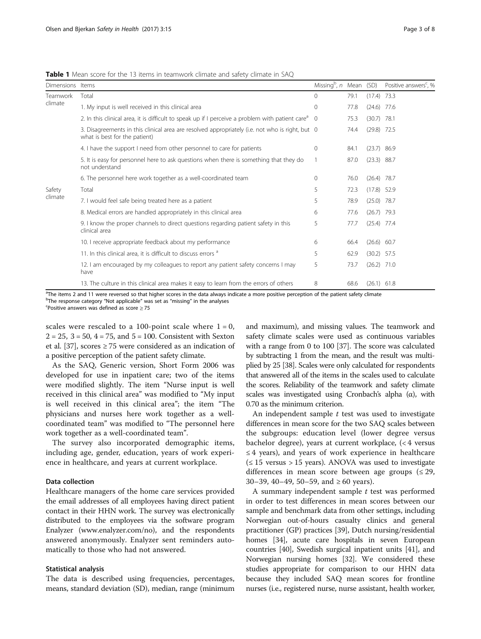| Dimensions Items           |                                                                                                                                  | Missing <sup>b</sup> , <i>n</i> Mean (SD) |      |               | Positive answers <sup>c</sup> , % |
|----------------------------|----------------------------------------------------------------------------------------------------------------------------------|-------------------------------------------|------|---------------|-----------------------------------|
| <b>Teamwork</b><br>climate | Total                                                                                                                            | 0                                         | 79.1 | $(17.4)$ 73.3 |                                   |
|                            | 1. My input is well received in this clinical area                                                                               | 0                                         | 77.8 | $(24.6)$ 77.6 |                                   |
|                            | 2. In this clinical area, it is difficult to speak up if I perceive a problem with patient care <sup>a</sup> 0                   |                                           | 75.3 | $(30.7)$ 78.1 |                                   |
|                            | 3. Disagreements in this clinical area are resolved appropriately (i.e. not who is right, but 0<br>what is best for the patient) |                                           | 74.4 | $(29.8)$ 72.5 |                                   |
|                            | 4. I have the support I need from other personnel to care for patients                                                           | 0                                         | 84.1 | (23.7)        | -86.9                             |
|                            | 5. It is easy for personnel here to ask questions when there is something that they do<br>not understand                         |                                           | 87.0 | $(23.3)$ 88.7 |                                   |
|                            | 6. The personnel here work together as a well-coordinated team                                                                   | 0                                         | 76.0 | $(26.4)$ 78.7 |                                   |
| Safety                     | Total                                                                                                                            | 5                                         | 72.3 | $(17.8)$ 52.9 |                                   |
| climate                    | 7. I would feel safe being treated here as a patient                                                                             | 5                                         | 78.9 | $(25.0)$ 78.7 |                                   |
|                            | 8. Medical errors are handled appropriately in this clinical area                                                                | 6                                         | 77.6 | $(26.7)$ 79.3 |                                   |
|                            | 9. I know the proper channels to direct questions regarding patient safety in this<br>clinical area                              | 5                                         | 77.7 | $(25.4)$ 77.4 |                                   |
|                            | 10. I receive appropriate feedback about my performance                                                                          | 6                                         | 66.4 | $(26.6)$ 60.7 |                                   |
|                            | 11. In this clinical area, it is difficult to discuss errors <sup>a</sup>                                                        | 5                                         | 62.9 | $(30.2)$ 57.5 |                                   |
|                            | 12. I am encouraged by my colleagues to report any patient safety concerns I may<br>have                                         | 5                                         | 73.7 | $(26.2)$ 71.0 |                                   |
|                            | 13. The culture in this clinical area makes it easy to learn from the errors of others                                           | 8                                         | 68.6 | $(26.1)$ 61.8 |                                   |

<span id="page-2-0"></span>Table 1 Mean score for the 13 items in teamwork climate and safety climate in SAQ

<sup>a</sup>The items 2 and 11 were reversed so that higher scores in the data always indicate a more positive perception of the patient safety climate bThe response category "Not applicable" was set as "missing" in the analyses<br>Sporitive applyors was defined as scere > 75

 $e^{\epsilon}$ Positive answers was defined as score  $\geq$  75

scales were rescaled to a 100-point scale where  $1 = 0$ ,  $2 = 25$ ,  $3 = 50$ ,  $4 = 75$ , and  $5 = 100$ . Consistent with Sexton et al. [\[37\]](#page-7-0), scores  $\geq$  75 were considered as an indication of a positive perception of the patient safety climate.

As the SAQ, Generic version, Short Form 2006 was developed for use in inpatient care; two of the items were modified slightly. The item "Nurse input is well received in this clinical area" was modified to "My input is well received in this clinical area"; the item "The physicians and nurses here work together as a wellcoordinated team" was modified to "The personnel here work together as a well-coordinated team".

The survey also incorporated demographic items, including age, gender, education, years of work experience in healthcare, and years at current workplace.

## Data collection

Healthcare managers of the home care services provided the email addresses of all employees having direct patient contact in their HHN work. The survey was electronically distributed to the employees via the software program Enalyzer [\(www.enalyzer.com/no\)](http://www.enalyzer.com/no), and the respondents answered anonymously. Enalyzer sent reminders automatically to those who had not answered.

#### Statistical analysis

The data is described using frequencies, percentages, means, standard deviation (SD), median, range (minimum

and maximum), and missing values. The teamwork and safety climate scales were used as continuous variables with a range from 0 to 100 [[37\]](#page-7-0). The score was calculated by subtracting 1 from the mean, and the result was multiplied by 25 [[38](#page-7-0)]. Scales were only calculated for respondents that answered all of the items in the scales used to calculate the scores. Reliability of the teamwork and safety climate scales was investigated using Cronbach's alpha  $(\alpha)$ , with 0.70 as the minimum criterion.

An independent sample  $t$  test was used to investigate differences in mean score for the two SAQ scales between the subgroups: education level (lower degree versus bachelor degree), years at current workplace, (< 4 versus ≤ 4 years), and years of work experience in healthcare  $(≤ 15$  versus > 15 years). ANOVA was used to investigate differences in mean score between age groups  $(\leq 29,$ 30–39, 40–49, 50–59, and  $\geq 60$  years).

A summary independent sample  $t$  test was performed in order to test differences in mean scores between our sample and benchmark data from other settings, including Norwegian out-of-hours casualty clinics and general practitioner (GP) practices [[39](#page-7-0)], Dutch nursing/residential homes [\[34\]](#page-7-0), acute care hospitals in seven European countries [[40](#page-7-0)], Swedish surgical inpatient units [\[41\]](#page-7-0), and Norwegian nursing homes [[32\]](#page-7-0). We considered these studies appropriate for comparison to our HHN data because they included SAQ mean scores for frontline nurses (i.e., registered nurse, nurse assistant, health worker,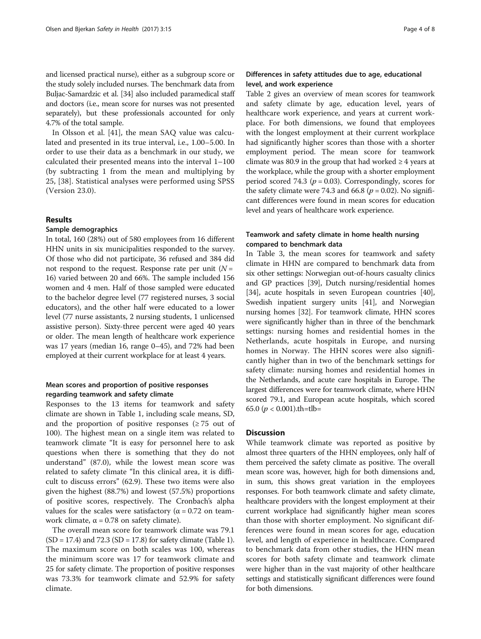and licensed practical nurse), either as a subgroup score or the study solely included nurses. The benchmark data from Buljac-Samardzic et al. [[34](#page-7-0)] also included paramedical staff and doctors (i.e., mean score for nurses was not presented separately), but these professionals accounted for only 4.7% of the total sample.

In Olsson et al. [[41\]](#page-7-0), the mean SAQ value was calculated and presented in its true interval, i.e., 1.00–5.00. In order to use their data as a benchmark in our study, we calculated their presented means into the interval 1–100 (by subtracting 1 from the mean and multiplying by 25, [\[38](#page-7-0)]. Statistical analyses were performed using SPSS (Version 23.0).

## Results

## Sample demographics

In total, 160 (28%) out of 580 employees from 16 different HHN units in six municipalities responded to the survey. Of those who did not participate, 36 refused and 384 did not respond to the request. Response rate per unit  $(N =$ 16) varied between 20 and 66%. The sample included 156 women and 4 men. Half of those sampled were educated to the bachelor degree level (77 registered nurses, 3 social educators), and the other half were educated to a lower level (77 nurse assistants, 2 nursing students, 1 unlicensed assistive person). Sixty-three percent were aged 40 years or older. The mean length of healthcare work experience was 17 years (median 16, range 0–45), and 72% had been employed at their current workplace for at least 4 years.

## Mean scores and proportion of positive responses regarding teamwork and safety climate

Responses to the 13 items for teamwork and safety climate are shown in Table [1,](#page-2-0) including scale means, SD, and the proportion of positive responses  $(≥ 75$  out of 100). The highest mean on a single item was related to teamwork climate "It is easy for personnel here to ask questions when there is something that they do not understand" (87.0), while the lowest mean score was related to safety climate "In this clinical area, it is difficult to discuss errors" (62.9). These two items were also given the highest (88.7%) and lowest (57.5%) proportions of positive scores, respectively. The Cronbach's alpha values for the scales were satisfactory ( $α = 0.72$  on teamwork climate,  $\alpha$  = 0.78 on safety climate).

The overall mean score for teamwork climate was 79.1  $(SD = 17.4)$  $(SD = 17.4)$  $(SD = 17.4)$  and  $72.3$   $(SD = 17.8)$  for safety climate (Table 1). The maximum score on both scales was 100, whereas the minimum score was 17 for teamwork climate and 25 for safety climate. The proportion of positive responses was 73.3% for teamwork climate and 52.9% for safety climate.

## Differences in safety attitudes due to age, educational level, and work experience

Table [2](#page-4-0) gives an overview of mean scores for teamwork and safety climate by age, education level, years of healthcare work experience, and years at current workplace. For both dimensions, we found that employees with the longest employment at their current workplace had significantly higher scores than those with a shorter employment period. The mean score for teamwork climate was 80.9 in the group that had worked  $\geq 4$  years at the workplace, while the group with a shorter employment period scored 74.3 ( $p = 0.03$ ). Correspondingly, scores for the safety climate were 74.3 and 66.8 ( $p = 0.02$ ). No significant differences were found in mean scores for education level and years of healthcare work experience.

## Teamwork and safety climate in home health nursing compared to benchmark data

In Table [3](#page-5-0), the mean scores for teamwork and safety climate in HHN are compared to benchmark data from six other settings: Norwegian out-of-hours casualty clinics and GP practices [[39\]](#page-7-0), Dutch nursing/residential homes [[34](#page-7-0)], acute hospitals in seven European countries [[40](#page-7-0)], Swedish inpatient surgery units [[41](#page-7-0)], and Norwegian nursing homes [\[32](#page-7-0)]. For teamwork climate, HHN scores were significantly higher than in three of the benchmark settings: nursing homes and residential homes in the Netherlands, acute hospitals in Europe, and nursing homes in Norway. The HHN scores were also significantly higher than in two of the benchmark settings for safety climate: nursing homes and residential homes in the Netherlands, and acute care hospitals in Europe. The largest differences were for teamwork climate, where HHN scored 79.1, and European acute hospitals, which scored 65.0 ( $p < 0.001$ ).th=tlb=

## Discussion

While teamwork climate was reported as positive by almost three quarters of the HHN employees, only half of them perceived the safety climate as positive. The overall mean score was, however, high for both dimensions and, in sum, this shows great variation in the employees responses. For both teamwork climate and safety climate, healthcare providers with the longest employment at their current workplace had significantly higher mean scores than those with shorter employment. No significant differences were found in mean scores for age, education level, and length of experience in healthcare. Compared to benchmark data from other studies, the HHN mean scores for both safety climate and teamwork climate were higher than in the vast majority of other healthcare settings and statistically significant differences were found for both dimensions.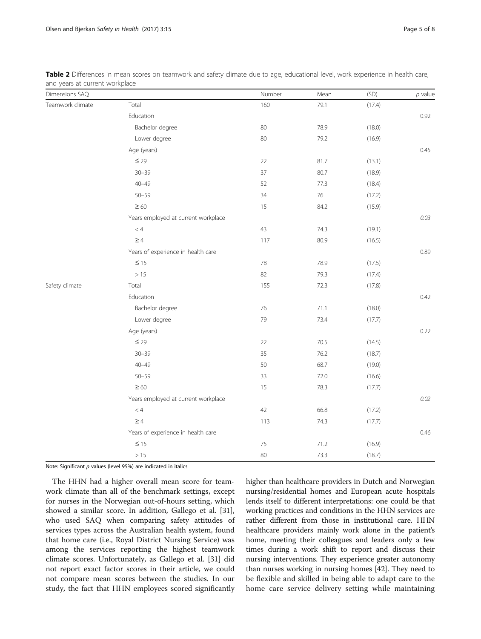| and years at earrent workplace<br>Dimensions SAQ |                                     | Number | Mean   | (SD)   | $p$ value |
|--------------------------------------------------|-------------------------------------|--------|--------|--------|-----------|
| Teamwork climate                                 | Total                               | 160    | 79.1   | (17.4) |           |
|                                                  | Education                           |        |        |        | 0.92      |
|                                                  | Bachelor degree                     | 80     | 78.9   | (18.0) |           |
|                                                  | Lower degree                        | 80     | 79.2   | (16.9) |           |
|                                                  | Age (years)                         |        |        |        | 0.45      |
|                                                  | $\leq 29$                           | 22     | 81.7   | (13.1) |           |
|                                                  | $30 - 39$                           | 37     | 80.7   | (18.9) |           |
|                                                  | $40 - 49$                           | 52     | 77.3   | (18.4) |           |
|                                                  | $50 - 59$                           | 34     | $76\,$ | (17.2) |           |
|                                                  | $\geq 60$                           | 15     | 84.2   | (15.9) |           |
|                                                  | Years employed at current workplace |        |        |        | 0.03      |
|                                                  | $< 4\,$                             | 43     | 74.3   | (19.1) |           |
|                                                  | $\geq 4$                            | 117    | 80.9   | (16.5) |           |
|                                                  | Years of experience in health care  |        |        |        | 0.89      |
|                                                  | $\leq$ 15                           | 78     | 78.9   | (17.5) |           |
|                                                  | $>15\,$                             | 82     | 79.3   | (17.4) |           |
| Safety climate                                   | Total                               | 155    | 72.3   | (17.8) |           |
|                                                  | Education                           |        |        |        | 0.42      |
|                                                  | Bachelor degree                     | 76     | 71.1   | (18.0) |           |
|                                                  | Lower degree                        | 79     | 73.4   | (17.7) |           |
|                                                  | Age (years)                         |        |        |        | 0.22      |
|                                                  | $\leq$ 29                           | 22     | 70.5   | (14.5) |           |
|                                                  | $30 - 39$                           | 35     | 76.2   | (18.7) |           |
|                                                  | $40 - 49$                           | 50     | 68.7   | (19.0) |           |
|                                                  | $50 - 59$                           | 33     | 72.0   | (16.6) |           |
|                                                  | $\geq 60$                           | 15     | 78.3   | (17.7) |           |
|                                                  | Years employed at current workplace |        |        |        | 0.02      |
|                                                  | $< 4\,$                             | 42     | 66.8   | (17.2) |           |
|                                                  | $\geq 4$                            | 113    | 74.3   | (17.7) |           |
|                                                  | Years of experience in health care  |        |        |        | 0.46      |
|                                                  | $\leq$ 15                           | $75\,$ | 71.2   | (16.9) |           |
|                                                  | $>15\,$                             | 80     | 73.3   | (18.7) |           |

<span id="page-4-0"></span>Table 2 Differences in mean scores on teamwork and safety climate due to age, educational level, work experience in health care, and years at current workplace

Note: Significant  $p$  values (level 95%) are indicated in italics

The HHN had a higher overall mean score for teamwork climate than all of the benchmark settings, except for nurses in the Norwegian out-of-hours setting, which showed a similar score. In addition, Gallego et al. [\[31](#page-7-0)], who used SAQ when comparing safety attitudes of services types across the Australian health system, found that home care (i.e., Royal District Nursing Service) was among the services reporting the highest teamwork climate scores. Unfortunately, as Gallego et al. [[31](#page-7-0)] did not report exact factor scores in their article, we could not compare mean scores between the studies. In our study, the fact that HHN employees scored significantly higher than healthcare providers in Dutch and Norwegian nursing/residential homes and European acute hospitals lends itself to different interpretations: one could be that working practices and conditions in the HHN services are rather different from those in institutional care. HHN healthcare providers mainly work alone in the patient's home, meeting their colleagues and leaders only a few times during a work shift to report and discuss their nursing interventions. They experience greater autonomy than nurses working in nursing homes [\[42\]](#page-7-0). They need to be flexible and skilled in being able to adapt care to the home care service delivery setting while maintaining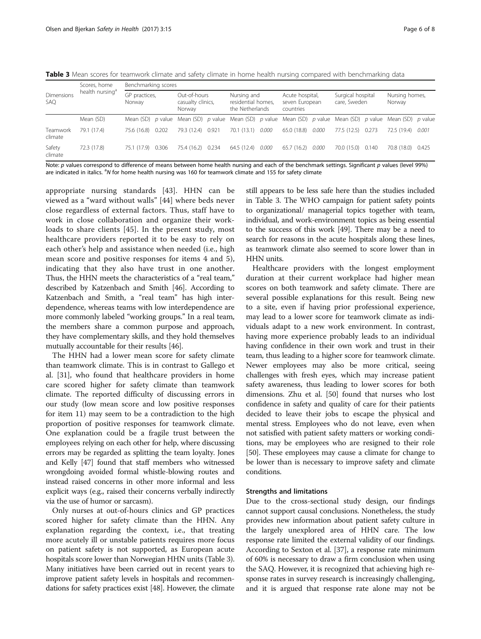<span id="page-5-0"></span>Table 3 Mean scores for teamwork climate and safety climate in home health nursing compared with benchmarking data

| Dimensions<br><b>SAO</b> | Scores, home<br>health nursing <sup>a</sup> | Benchmarking scores     |       |                                             |  |                                                      |       |                                                |       |                                   |       |                                                                                                             |  |
|--------------------------|---------------------------------------------|-------------------------|-------|---------------------------------------------|--|------------------------------------------------------|-------|------------------------------------------------|-------|-----------------------------------|-------|-------------------------------------------------------------------------------------------------------------|--|
|                          |                                             | GP practices,<br>Norway |       | Out-of-hours<br>casualty clinics,<br>Norway |  | Nursing and<br>residential homes,<br>the Netherlands |       | Acute hospital,<br>seven European<br>countries |       | Surgical hospital<br>care, Sweden |       | Nursing homes,<br>Norway                                                                                    |  |
|                          | Mean (SD)                                   |                         |       |                                             |  |                                                      |       |                                                |       |                                   |       | Mean (SD) p value Mean (SD) p value Mean (SD) p value Mean (SD) p value Mean (SD) p value Mean (SD) p value |  |
| Teamwork<br>climate      | 79.1 (17.4)                                 | 75.6 (16.8)             | 0.202 | 79.3 (12.4) 0.921                           |  | 70.1 (13.1)                                          | 0.000 | 65.0 (18.8)                                    | 0.000 | 77.5 (12.5)                       | 0.273 | 72.5 (19.4) 0.001                                                                                           |  |
| Safety<br>climate        | 72.3 (17.8)                                 | 75.1 (17.9)             | 0.306 | 75.4 (16.2) 0.234                           |  | 64.5 (12.4)                                          | 0.000 | 65.7(16.2)                                     | 0.000 | 70.0 (15.0)                       | 0.140 | 70.8 (18.0) 0.425                                                                                           |  |

Note: p values correspond to difference of means between home health nursing and each of the benchmark settings. Significant p values (level 99%) are indicated in italics. <sup>a</sup>N for home health nursing was 160 for teamwork climate and 155 for safety climate

appropriate nursing standards [\[43](#page-7-0)]. HHN can be viewed as a "ward without walls" [[44\]](#page-7-0) where beds never close regardless of external factors. Thus, staff have to work in close collaboration and organize their workloads to share clients [[45](#page-7-0)]. In the present study, most healthcare providers reported it to be easy to rely on each other's help and assistance when needed (i.e., high mean score and positive responses for items 4 and 5), indicating that they also have trust in one another. Thus, the HHN meets the characteristics of a "real team," described by Katzenbach and Smith [\[46\]](#page-7-0). According to Katzenbach and Smith, a "real team" has high interdependence, whereas teams with low interdependence are more commonly labeled "working groups." In a real team, the members share a common purpose and approach, they have complementary skills, and they hold themselves mutually accountable for their results [\[46\]](#page-7-0).

The HHN had a lower mean score for safety climate than teamwork climate. This is in contrast to Gallego et al. [[31\]](#page-7-0), who found that healthcare providers in home care scored higher for safety climate than teamwork climate. The reported difficulty of discussing errors in our study (low mean score and low positive responses for item 11) may seem to be a contradiction to the high proportion of positive responses for teamwork climate. One explanation could be a fragile trust between the employees relying on each other for help, where discussing errors may be regarded as splitting the team loyalty. Jones and Kelly [\[47\]](#page-7-0) found that staff members who witnessed wrongdoing avoided formal whistle-blowing routes and instead raised concerns in other more informal and less explicit ways (e.g., raised their concerns verbally indirectly via the use of humor or sarcasm).

Only nurses at out-of-hours clinics and GP practices scored higher for safety climate than the HHN. Any explanation regarding the context, i.e., that treating more acutely ill or unstable patients requires more focus on patient safety is not supported, as European acute hospitals score lower than Norwegian HHN units (Table 3). Many initiatives have been carried out in recent years to improve patient safety levels in hospitals and recommendations for safety practices exist [\[48\]](#page-7-0). However, the climate

still appears to be less safe here than the studies included in Table 3. The WHO campaign for patient safety points to organizational/ managerial topics together with team, individual, and work-environment topics as being essential to the success of this work [\[49\]](#page-7-0). There may be a need to search for reasons in the acute hospitals along these lines, as teamwork climate also seemed to score lower than in HHN units.

Healthcare providers with the longest employment duration at their current workplace had higher mean scores on both teamwork and safety climate. There are several possible explanations for this result. Being new to a site, even if having prior professional experience, may lead to a lower score for teamwork climate as individuals adapt to a new work environment. In contrast, having more experience probably leads to an individual having confidence in their own work and trust in their team, thus leading to a higher score for teamwork climate. Newer employees may also be more critical, seeing challenges with fresh eyes, which may increase patient safety awareness, thus leading to lower scores for both dimensions. Zhu et al. [[50](#page-7-0)] found that nurses who lost confidence in safety and quality of care for their patients decided to leave their jobs to escape the physical and mental stress. Employees who do not leave, even when not satisfied with patient safety matters or working conditions, may be employees who are resigned to their role [[50](#page-7-0)]. These employees may cause a climate for change to be lower than is necessary to improve safety and climate conditions.

## Strengths and limitations

Due to the cross-sectional study design, our findings cannot support causal conclusions. Nonetheless, the study provides new information about patient safety culture in the largely unexplored area of HHN care. The low response rate limited the external validity of our findings. According to Sexton et al. [[37](#page-7-0)], a response rate minimum of 60% is necessary to draw a firm conclusion when using the SAQ. However, it is recognized that achieving high response rates in survey research is increasingly challenging, and it is argued that response rate alone may not be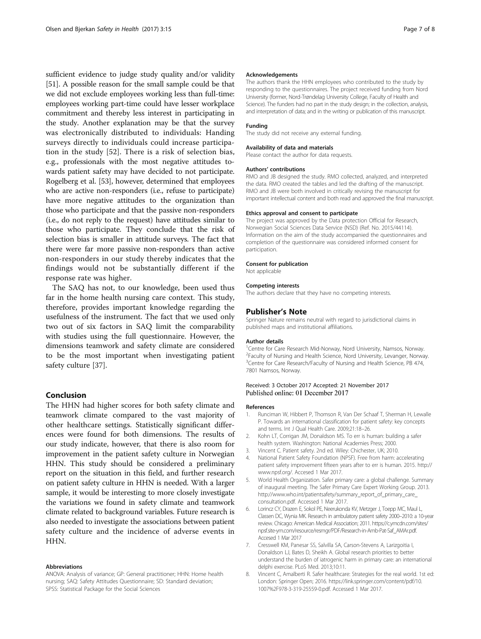<span id="page-6-0"></span>sufficient evidence to judge study quality and/or validity [[51](#page-7-0)]. A possible reason for the small sample could be that we did not exclude employees working less than full-time: employees working part-time could have lesser workplace commitment and thereby less interest in participating in the study. Another explanation may be that the survey was electronically distributed to individuals: Handing surveys directly to individuals could increase participation in the study [[52\]](#page-7-0). There is a risk of selection bias, e.g., professionals with the most negative attitudes towards patient safety may have decided to not participate. Rogelberg et al. [\[53\]](#page-7-0), however, determined that employees who are active non-responders (i.e., refuse to participate) have more negative attitudes to the organization than those who participate and that the passive non-responders (i.e., do not reply to the request) have attitudes similar to those who participate. They conclude that the risk of selection bias is smaller in attitude surveys. The fact that there were far more passive non-responders than active non-responders in our study thereby indicates that the findings would not be substantially different if the response rate was higher.

The SAQ has not, to our knowledge, been used thus far in the home health nursing care context. This study, therefore, provides important knowledge regarding the usefulness of the instrument. The fact that we used only two out of six factors in SAQ limit the comparability with studies using the full questionnaire. However, the dimensions teamwork and safety climate are considered to be the most important when investigating patient safety culture [[37](#page-7-0)].

## Conclusion

The HHN had higher scores for both safety climate and teamwork climate compared to the vast majority of other healthcare settings. Statistically significant differences were found for both dimensions. The results of our study indicate, however, that there is also room for improvement in the patient safety culture in Norwegian HHN. This study should be considered a preliminary report on the situation in this field, and further research on patient safety culture in HHN is needed. With a larger sample, it would be interesting to more closely investigate the variations we found in safety climate and teamwork climate related to background variables. Future research is also needed to investigate the associations between patient safety culture and the incidence of adverse events in HHN.

#### Abbreviations

ANOVA: Analysis of variance; GP: General practitioner; HHN: Home health nursing; SAQ: Safety Attitudes Questionnaire; SD: Standard deviation; SPSS: Statistical Package for the Social Sciences

#### Acknowledgements

The authors thank the HHN employees who contributed to the study by responding to the questionnaires. The project received funding from Nord University (former, Nord-Trøndelag University College, Faculty of Health and Science). The funders had no part in the study design; in the collection, analysis, and interpretation of data; and in the writing or publication of this manuscript.

### Funding

The study did not receive any external funding.

#### Availability of data and materials

Please contact the author for data requests.

#### Authors' contributions

RMO and JB designed the study. RMO collected, analyzed, and interpreted the data. RMO created the tables and led the drafting of the manuscript. RMO and JB were both involved in critically revising the manuscript for important intellectual content and both read and approved the final manuscript.

#### Ethics approval and consent to participate

The project was approved by the Data protection Official for Research, Norwegian Social Sciences Data Service (NSD) (Ref. No. 2015/44114). Information on the aim of the study accompanied the questionnaires and completion of the questionnaire was considered informed consent for participation.

#### Consent for publication

Not applicable

#### Competing interests

The authors declare that they have no competing interests.

#### Publisher's Note

Springer Nature remains neutral with regard to jurisdictional claims in published maps and institutional affiliations.

#### Author details

<sup>1</sup> Centre for Care Research Mid-Norway, Nord University, Namsos, Norway <sup>2</sup> Faculty of Nursing and Health Science, Nord University, Levanger, Norway <sup>3</sup> Centre for Care Research/Faculty of Nursing and Health Science, PB 474, 7801 Namsos, Norway.

# Received: 3 October 2017 Accepted: 21 November 2017

#### References

- 1. Runciman W, Hibbert P, Thomson R, Van Der Schaaf T, Sherman H, Lewalle P. Towards an international classification for patient safety: key concepts and terms. Int J Qual Health Care. 2009;21:18–26.
- 2. Kohn LT, Corrigan JM, Donaldson MS. To err is human: building a safer health system. Washington: National Academies Press; 2000.
- 3. Vincent C. Patient safety. 2nd ed. Wiley: Chichester, UK; 2010.
- National Patient Safety Foundation (NPSF). Free from harm: accelerating patient safety improvement fifteen years after to err is human. 2015. [http://](http://www.npsf.org/) [www.npsf.org/.](http://www.npsf.org/) Accesed 1 Mar 2017.
- 5. World Health Organization. Safer primary care: a global challenge. Summary of inaugural meeting. The Safer Primary Care Expert Working Group. 2013. [http://www.who.int/patientsafety/summary\\_report\\_of\\_primary\\_care\\_](http://www.who.int/patientsafety/summary_report_of_primary_care_consultation.pdf) [consultation.pdf](http://www.who.int/patientsafety/summary_report_of_primary_care_consultation.pdf). Accessed 1 Mar 2017.
- 6. Lorincz CY, Drazen E, Sokol PE, Neerukonda KV, Metzger J, Toepp MC, Maul L, Classen DC, Wynia MK. Research in ambulatory patient safety 2000–2010: a 10-year review. Chicago: American Medical Association; 2011. [https://c.ymcdn.com/sites/](https://c.ymcdn.com/sites/npsf.site-ym.com/resource/resmgr/PDF/Research-in-Amb-Pat-Saf_AMAr.pdf) [npsf.site-ym.com/resource/resmgr/PDF/Research-in-Amb-Pat-Saf\\_AMAr.pdf](https://c.ymcdn.com/sites/npsf.site-ym.com/resource/resmgr/PDF/Research-in-Amb-Pat-Saf_AMAr.pdf). Accesed 1 Mar 2017
- 7. Cresswell KM, Panesar SS, Salvilla SA, Carson-Stevens A, Larizgoitia I, Donaldson LJ, Bates D, Sheikh A. Global research priorities to better understand the burden of iatrogenic harm in primary care: an international delphi exercise. PLoS Med. 2013;10:11.
- Vincent C, Amalberti R. Safer healthcare: Strategies for the real world. 1st ed: London: Springer Open; 2016. [https://link.springer.com/content/pdf/10.](https://link.springer.com/content/pdf/10.1007%2F978-3-319-25559-0.pdf) [1007%2F978-3-319-25559-0.pdf.](https://link.springer.com/content/pdf/10.1007%2F978-3-319-25559-0.pdf) Accessed 1 Mar 2017.